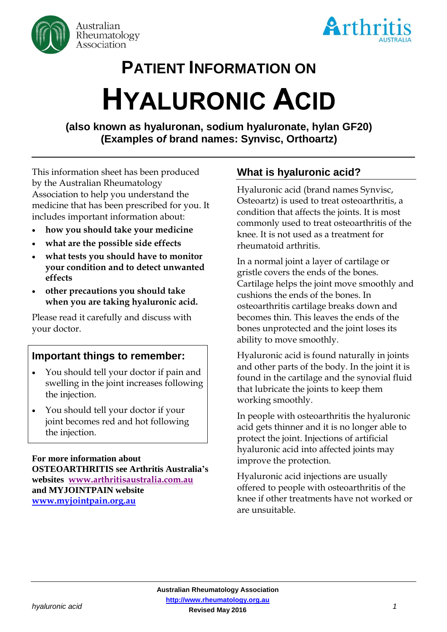



# **PATIENT INFORMATION ON HYALURONIC ACID**

**(also known as hyaluronan, sodium hyaluronate, hylan GF20) (Examples o***f* **brand names: Synvisc, Orthoartz)**

This information sheet has been produced by the Australian Rheumatology Association to help you understand the medicine that has been prescribed for you. It includes important information about:

- **how you should take your medicine**
- **what are the possible side effects**
- **what tests you should have to monitor your condition and to detect unwanted effects**
- **other precautions you should take when you are taking hyaluronic acid.**

Please read it carefully and discuss with your doctor.

## **Important things to remember:**

- You should tell your doctor if pain and swelling in the joint increases following the injection.
- You should tell your doctor if your joint becomes red and hot following the injection.

**For more information about OSTEOARTHRITIS see Arthritis Australia's websites [www.arthritisaustralia.com.au](http://www.arthritisaustralia.com.au/index.php/arthritis-information/information-sheets.html) and MYJOINTPAIN website [www.myjointpain.org.au](https://www.myjointpain.org.au/)**

## **What is hyaluronic acid?**

Hyaluronic acid (brand names Synvisc, Osteoartz) is used to treat osteoarthritis, a condition that affects the joints. It is most commonly used to treat osteoarthritis of the knee. It is not used as a treatment for rheumatoid arthritis.

In a normal joint a layer of cartilage or gristle covers the ends of the bones. Cartilage helps the joint move smoothly and cushions the ends of the bones. In osteoarthritis cartilage breaks down and becomes thin. This leaves the ends of the bones unprotected and the joint loses its ability to move smoothly.

Hyaluronic acid is found naturally in joints and other parts of the body. In the joint it is found in the cartilage and the synovial fluid that lubricate the joints to keep them working smoothly.

In people with osteoarthritis the hyaluronic acid gets thinner and it is no longer able to protect the joint. Injections of artificial hyaluronic acid into affected joints may improve the protection.

Hyaluronic acid injections are usually offered to people with osteoarthritis of the knee if other treatments have not worked or are unsuitable.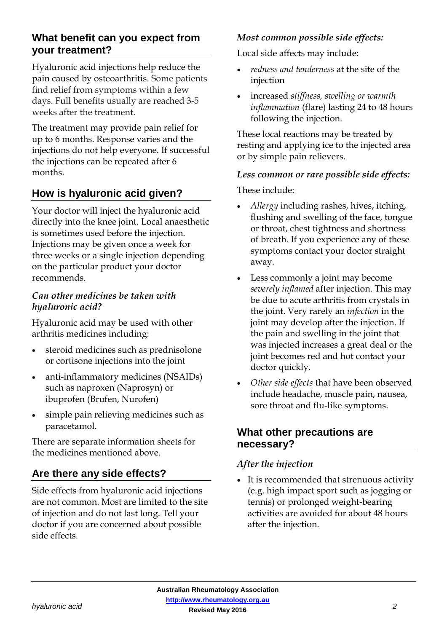## **What benefit can you expect from your treatment?**

Hyaluronic acid injections help reduce the pain caused by osteoarthritis. Some patients find relief from symptoms within a few days. Full benefits usually are reached 3-5 weeks after the treatment.

The treatment may provide pain relief for up to 6 months. Response varies and the injections do not help everyone. If successful the injections can be repeated after 6 months.

# **How is hyaluronic acid given?**

Your doctor will inject the hyaluronic acid directly into the knee joint. Local anaesthetic is sometimes used before the injection. Injections may be given once a week for three weeks or a single injection depending on the particular product your doctor recommends.

#### *Can other medicines be taken with hyaluronic acid?*

Hyaluronic acid may be used with other arthritis medicines including:

- steroid medicines such as prednisolone or cortisone injections into the joint
- anti-inflammatory medicines (NSAIDs) such as naproxen (Naprosyn) or ibuprofen (Brufen, Nurofen)
- simple pain relieving medicines such as paracetamol.

There are separate information sheets for the medicines mentioned above.

# **Are there any side effects?**

Side effects from hyaluronic acid injections are not common. Most are limited to the site of injection and do not last long. Tell your doctor if you are concerned about possible side effects.

#### *Most common possible side effects:*

Local side affects may include:

- *redness and tenderness* at the site of the injection
- increased *stiffness, swelling or warmth inflammation* (flare) lasting 24 to 48 hours following the injection.

These local reactions may be treated by resting and applying ice to the injected area or by simple pain relievers.

#### *Less common or rare possible side effects:*

These include:

- *Allergy* including rashes, hives, itching, flushing and swelling of the face, tongue or throat, chest tightness and shortness of breath. If you experience any of these symptoms contact your doctor straight away.
- Less commonly a joint may become *severely inflamed* after injection. This may be due to acute arthritis from crystals in the joint. Very rarely an *infection* in the joint may develop after the injection. If the pain and swelling in the joint that was injected increases a great deal or the joint becomes red and hot contact your doctor quickly.
- *Other side effects* that have been observed include headache, muscle pain, nausea, sore throat and flu-like symptoms.

## **What other precautions are necessary?**

## *After the injection*

 It is recommended that strenuous activity (e.g. high impact sport such as jogging or tennis) or prolonged weight-bearing activities are avoided for about 48 hours after the injection.